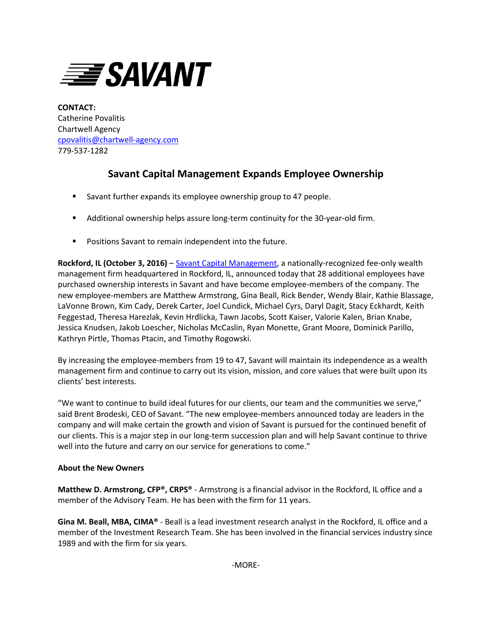

**CONTACT:** Catherine Povalitis Chartwell Agency [cpovalitis@chartwell-agency.com](mailto:cpovalitis@chartwell-agency.com) 779-537-1282

## **Savant Capital Management Expands Employee Ownership**

- Savant further expands its employee ownership group to 47 people.
- Additional ownership helps assure long-term continuity for the 30-year-old firm.
- **Positions Savant to remain independent into the future.**

**Rockford, IL (October 3, 2016)** – [Savant Capital Management,](http://www.savantcapital.com/) a nationally-recognized fee-only wealth management firm headquartered in Rockford, IL, announced today that 28 additional employees have purchased ownership interests in Savant and have become employee-members of the company. The new employee-members are Matthew Armstrong, Gina Beall, Rick Bender, Wendy Blair, Kathie Blassage, LaVonne Brown, Kim Cady, Derek Carter, Joel Cundick, Michael Cyrs, Daryl Dagit, Stacy Eckhardt, Keith Feggestad, Theresa Harezlak, Kevin Hrdlicka, Tawn Jacobs, Scott Kaiser, Valorie Kalen, Brian Knabe, Jessica Knudsen, Jakob Loescher, Nicholas McCaslin, Ryan Monette, Grant Moore, Dominick Parillo, Kathryn Pirtle, Thomas Ptacin, and Timothy Rogowski.

By increasing the employee-members from 19 to 47, Savant will maintain its independence as a wealth management firm and continue to carry out its vision, mission, and core values that were built upon its clients' best interests.

"We want to continue to build ideal futures for our clients, our team and the communities we serve," said Brent Brodeski, CEO of Savant. "The new employee-members announced today are leaders in the company and will make certain the growth and vision of Savant is pursued for the continued benefit of our clients. This is a major step in our long-term succession plan and will help Savant continue to thrive well into the future and carry on our service for generations to come."

## **About the New Owners**

**Matthew D. Armstrong, CFP®, CRPS®** - Armstrong is a financial advisor in the Rockford, IL office and a member of the Advisory Team. He has been with the firm for 11 years.

**Gina M. Beall, MBA, CIMA®** - Beall is a lead investment research analyst in the Rockford, IL office and a member of the Investment Research Team. She has been involved in the financial services industry since 1989 and with the firm for six years.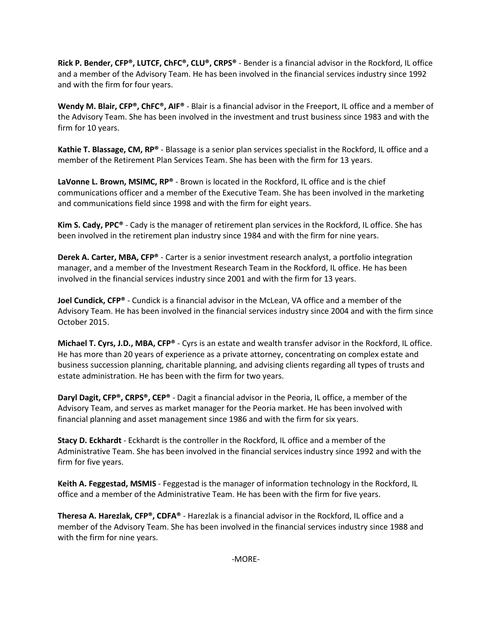**Rick P. Bender, CFP®, LUTCF, ChFC®, CLU®, CRPS®** - Bender is a financial advisor in the Rockford, IL office and a member of the Advisory Team. He has been involved in the financial services industry since 1992 and with the firm for four years.

**Wendy M. Blair, CFP®, ChFC®, AIF®** - Blair is a financial advisor in the Freeport, IL office and a member of the Advisory Team. She has been involved in the investment and trust business since 1983 and with the firm for 10 years.

**Kathie T. Blassage, CM, RP®** - Blassage is a senior plan services specialist in the Rockford, IL office and a member of the Retirement Plan Services Team. She has been with the firm for 13 years.

**LaVonne L. Brown, MSIMC, RP®** - Brown is located in the Rockford, IL office and is the chief communications officer and a member of the Executive Team. She has been involved in the marketing and communications field since 1998 and with the firm for eight years.

**Kim S. Cady, PPC®** - Cady is the manager of retirement plan services in the Rockford, IL office. She has been involved in the retirement plan industry since 1984 and with the firm for nine years.

**Derek A. Carter, MBA, CFP®** - Carter is a senior investment research analyst, a portfolio integration manager, and a member of the Investment Research Team in the Rockford, IL office. He has been involved in the financial services industry since 2001 and with the firm for 13 years.

**Joel Cundick, CFP®** - Cundick is a financial advisor in the McLean, VA office and a member of the Advisory Team. He has been involved in the financial services industry since 2004 and with the firm since October 2015.

**Michael T. Cyrs, J.D., MBA, CFP®** - Cyrs is an estate and wealth transfer advisor in the Rockford, IL office. He has more than 20 years of experience as a private attorney, concentrating on complex estate and business succession planning, charitable planning, and advising clients regarding all types of trusts and estate administration. He has been with the firm for two years.

**Daryl Dagit, CFP®, CRPS®, CEP®** - Dagit a financial advisor in the Peoria, IL office, a member of the Advisory Team, and serves as market manager for the Peoria market. He has been involved with financial planning and asset management since 1986 and with the firm for six years.

**Stacy D. Eckhardt** - Eckhardt is the controller in the Rockford, IL office and a member of the Administrative Team. She has been involved in the financial services industry since 1992 and with the firm for five years.

**Keith A. Feggestad, MSMIS** - Feggestad is the manager of information technology in the Rockford, IL office and a member of the Administrative Team. He has been with the firm for five years.

**Theresa A. Harezlak, CFP®, CDFA®** - Harezlak is a financial advisor in the Rockford, IL office and a member of the Advisory Team. She has been involved in the financial services industry since 1988 and with the firm for nine years.

-MORE-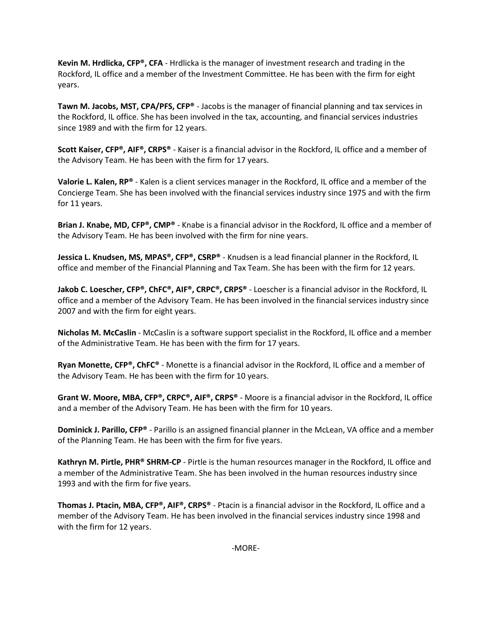**Kevin M. Hrdlicka, CFP®, CFA** - Hrdlicka is the manager of investment research and trading in the Rockford, IL office and a member of the Investment Committee. He has been with the firm for eight years.

**Tawn M. Jacobs, MST, CPA/PFS, CFP®** - Jacobs is the manager of financial planning and tax services in the Rockford, IL office. She has been involved in the tax, accounting, and financial services industries since 1989 and with the firm for 12 years.

**Scott Kaiser, CFP®, AIF®, CRPS®** - Kaiser is a financial advisor in the Rockford, IL office and a member of the Advisory Team. He has been with the firm for 17 years.

**Valorie L. Kalen, RP®** - Kalen is a client services manager in the Rockford, IL office and a member of the Concierge Team. She has been involved with the financial services industry since 1975 and with the firm for 11 years.

**Brian J. Knabe, MD, CFP®, CMP®** - Knabe is a financial advisor in the Rockford, IL office and a member of the Advisory Team. He has been involved with the firm for nine years.

**Jessica L. Knudsen, MS, MPAS®, CFP®, CSRP®** - Knudsen is a lead financial planner in the Rockford, IL office and member of the Financial Planning and Tax Team. She has been with the firm for 12 years.

**Jakob C. Loescher, CFP®, ChFC®, AIF®, CRPC®, CRPS®** - Loescher is a financial advisor in the Rockford, IL office and a member of the Advisory Team. He has been involved in the financial services industry since 2007 and with the firm for eight years.

**Nicholas M. McCaslin** - McCaslin is a software support specialist in the Rockford, IL office and a member of the Administrative Team. He has been with the firm for 17 years.

**Ryan Monette, CFP®, ChFC®** - Monette is a financial advisor in the Rockford, IL office and a member of the Advisory Team. He has been with the firm for 10 years.

**Grant W. Moore, MBA, CFP®, CRPC®, AIF®, CRPS®** - Moore is a financial advisor in the Rockford, IL office and a member of the Advisory Team. He has been with the firm for 10 years.

**Dominick J. Parillo, CFP®** - Parillo is an assigned financial planner in the McLean, VA office and a member of the Planning Team. He has been with the firm for five years.

**Kathryn M. Pirtle, PHR® SHRM-CP** - Pirtle is the human resources manager in the Rockford, IL office and a member of the Administrative Team. She has been involved in the human resources industry since 1993 and with the firm for five years.

**Thomas J. Ptacin, MBA, CFP®, AIF®, CRPS®** - Ptacin is a financial advisor in the Rockford, IL office and a member of the Advisory Team. He has been involved in the financial services industry since 1998 and with the firm for 12 years.

-MORE-